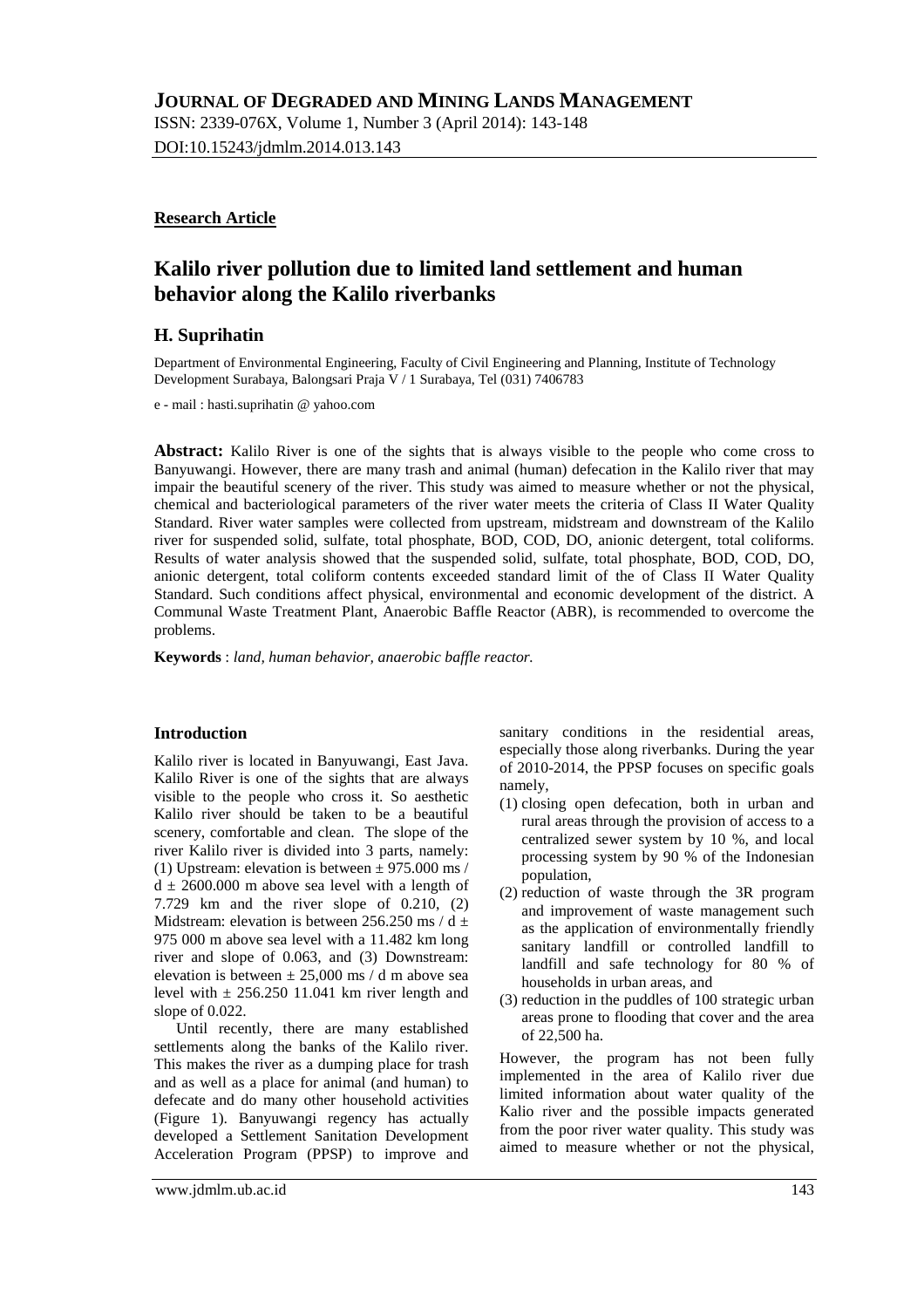ISSN: 2339-076X, Volume 1, Number 3 (April 2014): 143-148 DOI:10.15243/jdmlm.2014.013.143

# **Research Article**

# **Kalilo river pollution due to limited land settlement and human behavior along the Kalilo riverbanks**

# **H. Suprihatin**

Department of Environmental Engineering, Faculty of Civil Engineering and Planning, Institute of Technology Development Surabaya, Balongsari Praja V / 1 Surabaya, Tel (031) 7406783

e - mail : hasti.suprihatin @ yahoo.com

**Abstract:** Kalilo River is one of the sights that is always visible to the people who come cross to Banyuwangi. However, there are many trash and animal (human) defecation in the Kalilo river that may impair the beautiful scenery of the river. This study was aimed to measure whether or not the physical, chemical and bacteriological parameters of the river water meets the criteria of Class II Water Quality Standard. River water samples were collected from upstream, midstream and downstream of the Kalilo river for suspended solid, sulfate, total phosphate, BOD, COD, DO, anionic detergent, total coliforms. Results of water analysis showed that the suspended solid, sulfate, total phosphate, BOD, COD, DO, anionic detergent, total coliform contents exceeded standard limit of the of Class II Water Quality Standard. Such conditions affect physical, environmental and economic development of the district. A Communal Waste Treatment Plant, Anaerobic Baffle Reactor (ABR), is recommended to overcome the problems.

**Keywords** : *land, human behavior, anaerobic baffle reactor.*

### **Introduction**

Kalilo river is located in Banyuwangi, East Java. Kalilo River is one of the sights that are always visible to the people who cross it. So aesthetic Kalilo river should be taken to be a beautiful scenery, comfortable and clean. The slope of the river Kalilo river is divided into 3 parts, namely: (1) Upstream: elevation is between  $\pm$  975.000 ms /  $d \pm 2600.000$  m above sea level with a length of 7.729 km and the river slope of 0.210, (2) Midstream: elevation is between 256.250 ms /  $d \pm$ 975 000 m above sea level with a 11.482 km long river and slope of 0.063, and (3) Downstream: elevation is between  $\pm 25,000$  ms / d m above sea level with  $\pm$  256.250 11.041 km river length and slope of 0.022.

Until recently, there are many established settlements along the banks of the Kalilo river. This makes the river as a dumping place for trash and as well as a place for animal (and human) to defecate and do many other household activities (Figure 1). Banyuwangi regency has actually developed a Settlement Sanitation Development Acceleration Program (PPSP) to improve and

sanitary conditions in the residential areas, especially those along riverbanks. During the year of 2010-2014, the PPSP focuses on specific goals namely,

- (1) closing open defecation, both in urban and rural areas through the provision of access to a centralized sewer system by 10 %, and local processing system by 90 % of the Indonesian population,
- (2) reduction of waste through the 3R program and improvement of waste management such as the application of environmentally friendly sanitary landfill or controlled landfill to landfill and safe technology for 80 % of households in urban areas, and
- (3) reduction in the puddles of 100 strategic urban areas prone to flooding that cover and the area of 22,500 ha.

However, the program has not been fully implemented in the area of Kalilo river due limited information about water quality of the Kalio river and the possible impacts generated from the poor river water quality. This study was aimed to measure whether or not the physical,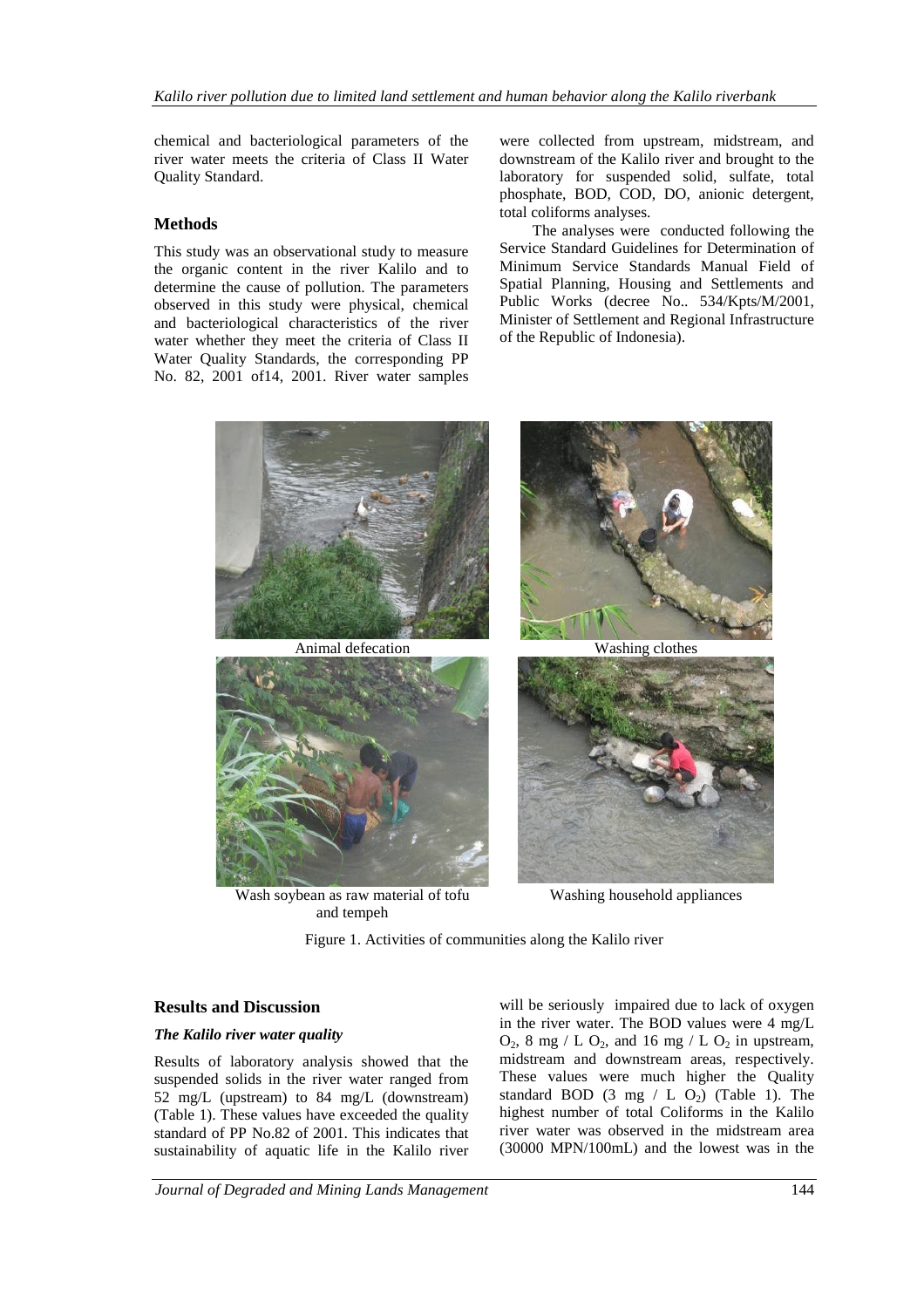chemical and bacteriological parameters of the river water meets the criteria of Class II Water Quality Standard.

# **Methods**

This study was an observational study to measure the organic content in the river Kalilo and to determine the cause of pollution. The parameters observed in this study were physical, chemical and bacteriological characteristics of the river water whether they meet the criteria of Class II Water Quality Standards, the corresponding PP No. 82, 2001 of14, 2001. River water samples

were collected from upstream, midstream, and downstream of the Kalilo river and brought to the laboratory for suspended solid, sulfate, total phosphate, BOD, COD, DO, anionic detergent, total coliforms analyses.

The analyses were conducted following the Service Standard Guidelines for Determination of Minimum Service Standards Manual Field of Spatial Planning, Housing and Settlements and Public Works (decree No.. 534/Kpts/M/2001, Minister of Settlement and Regional Infrastructure of the Republic of Indonesia).



Wash soybean as raw material of tofu and tempeh

Washing household appliances

Figure 1. Activities of communities along the Kalilo river

### **Results and Discussion**

### *The Kalilo river water quality*

Results of laboratory analysis showed that the suspended solids in the river water ranged from 52 mg/L (upstream) to 84 mg/L (downstream) (Table 1). These values have exceeded the quality standard of PP No.82 of 2001. This indicates that sustainability of aquatic life in the Kalilo river will be seriously impaired due to lack of oxygen in the river water. The BOD values were 4 mg/L  $O_2$ , 8 mg / L  $O_2$ , and 16 mg / L  $O_2$  in upstream, midstream and downstream areas, respectively. These values were much higher the Quality standard BOD (3 mg / L  $O<sub>2</sub>$ ) (Table 1). The highest number of total Coliforms in the Kalilo river water was observed in the midstream area (30000 MPN/100mL) and the lowest was in the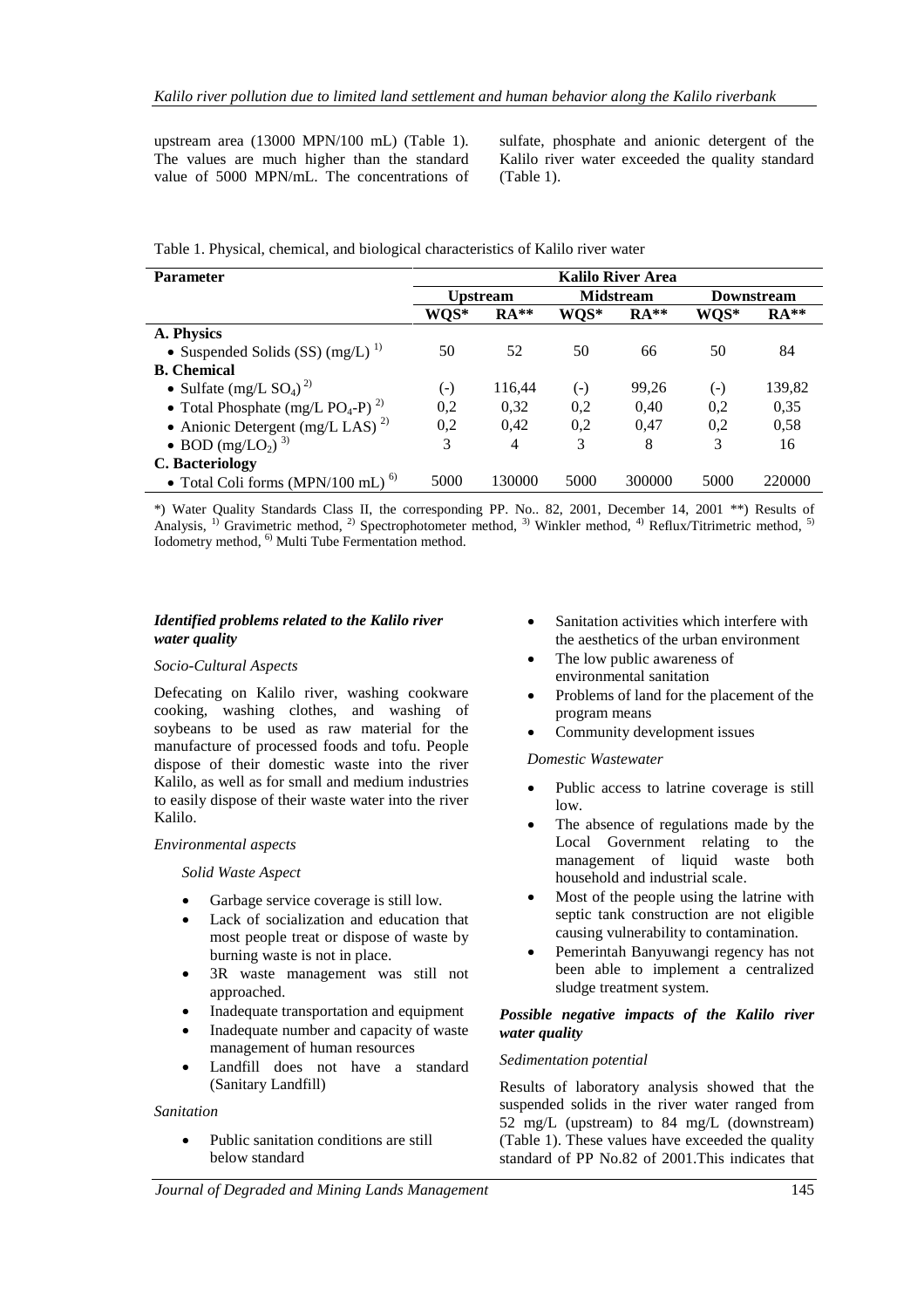upstream area (13000 MPN/100 mL) (Table 1). The values are much higher than the standard value of 5000 MPN/mL. The concentrations of

sulfate, phosphate and anionic detergent of the Kalilo river water exceeded the quality standard (Table 1).

Table 1. Physical, chemical, and biological characteristics of Kalilo river water

| <b>Parameter</b>                                          | <b>Kalilo River Area</b> |                |                  |        |                   |        |
|-----------------------------------------------------------|--------------------------|----------------|------------------|--------|-------------------|--------|
|                                                           | <b>Upstream</b>          |                | <b>Midstream</b> |        | <b>Downstream</b> |        |
|                                                           | WQS*                     | $RA**$         | WQS*             | $RA**$ | WQS*              | $RA**$ |
| A. Physics                                                |                          |                |                  |        |                   |        |
| • Suspended Solids (SS) $(mg/L)^{1}$                      | 50                       | 52             | 50               | 66     | 50                | 84     |
| <b>B.</b> Chemical                                        |                          |                |                  |        |                   |        |
| • Sulfate (mg/L $SO_4$ ) <sup>2)</sup>                    | $(-)$                    | 116,44         | $(-)$            | 99,26  | $(-)$             | 139,82 |
| • Total Phosphate (mg/L PO <sub>4</sub> -P) <sup>2)</sup> | 0,2                      | 0,32           | 0,2              | 0,40   | 0,2               | 0,35   |
| • Anionic Detergent (mg/L LAS) <sup>2)</sup>              | 0,2                      | 0,42           | 0,2              | 0,47   | 0,2               | 0,58   |
| • BOD $(mg/LO_2)^3$                                       | 3                        | $\overline{4}$ | 3                | 8      | 3                 | 16     |
| <b>C.</b> Bacteriology                                    |                          |                |                  |        |                   |        |
| • Total Coli forms (MPN/100 mL) $^{6)}$                   | 5000                     | 130000         | 5000             | 300000 | 5000              | 220000 |

\*) Water Quality Standards Class II, the corresponding PP. No.. 82, 2001, December 14, 2001 \*\*) Results of Analysis, <sup>1)</sup> Gravimetric method, <sup>2)</sup> Spectrophotometer method, <sup>3)</sup> Winkler method, <sup>4)</sup> Reflux/Titrimetric method, <sup>5)</sup> Iodometry method, <sup>6)</sup> Multi Tube Fermentation method.

### *Identified problems related to the Kalilo river water quality*

#### *Socio-Cultural Aspects*

Defecating on Kalilo river, washing cookware cooking, washing clothes, and washing of soybeans to be used as raw material for the manufacture of processed foods and tofu. People dispose of their domestic waste into the river Kalilo, as well as for small and medium industries to easily dispose of their waste water into the river Kalilo.

### *Environmental aspects*

#### *Solid Waste Aspect*

- Garbage service coverage is still low.
- Lack of socialization and education that most people treat or dispose of waste by burning waste is not in place.
- 3R waste management was still not approached.
- Inadequate transportation and equipment
- Inadequate number and capacity of waste management of human resources
- Landfill does not have a standard (Sanitary Landfill)

#### *Sanitation*

 Public sanitation conditions are still below standard

- Sanitation activities which interfere with the aesthetics of the urban environment
- The low public awareness of environmental sanitation
- Problems of land for the placement of the program means
- Community development issues

*Domestic Wastewater*

- Public access to latrine coverage is still low.
- The absence of regulations made by the Local Government relating to the management of liquid waste both household and industrial scale.
- Most of the people using the latrine with septic tank construction are not eligible causing vulnerability to contamination.
- Pemerintah Banyuwangi regency has not been able to implement a centralized sludge treatment system.

### *Possible negative impacts of the Kalilo river water quality*

#### *Sedimentation potential*

Results of laboratory analysis showed that the suspended solids in the river water ranged from 52 mg/L (upstream) to 84 mg/L (downstream) (Table 1). These values have exceeded the quality standard of PP No.82 of 2001.This indicates that

*Journal of Degraded and Mining Lands Management* 145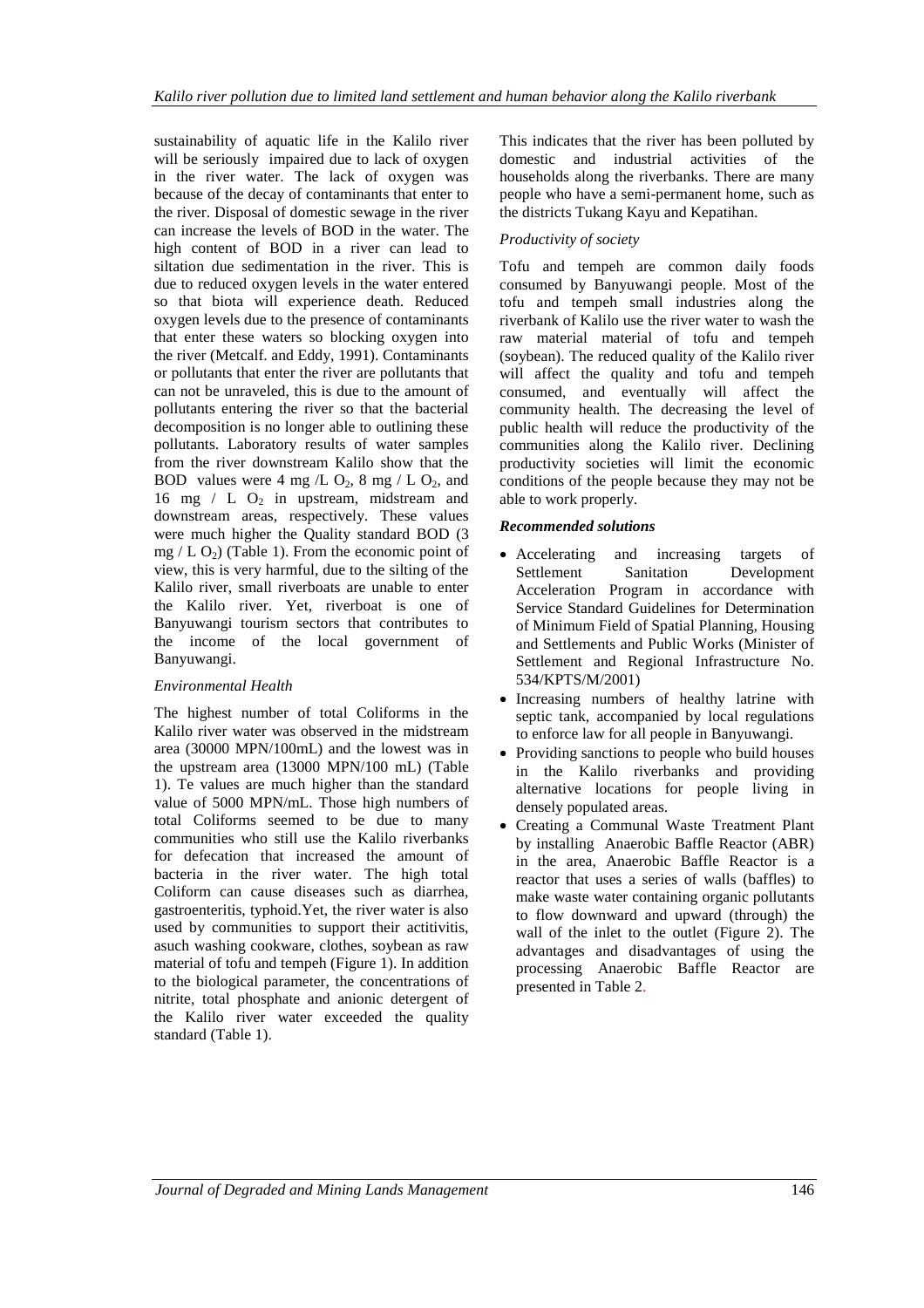sustainability of aquatic life in the Kalilo river will be seriously impaired due to lack of oxygen in the river water. The lack of oxygen was because of the decay of contaminants that enter to the river. Disposal of domestic sewage in the river can increase the levels of BOD in the water. The high content of BOD in a river can lead to siltation due sedimentation in the river. This is due to reduced oxygen levels in the water entered so that biota will experience death. Reduced oxygen levels due to the presence of contaminants that enter these waters so blocking oxygen into the river (Metcalf. and Eddy, 1991). Contaminants or pollutants that enter the river are pollutants that can not be unraveled, this is due to the amount of pollutants entering the river so that the bacterial decomposition is no longer able to outlining these pollutants. Laboratory results of water samples from the river downstream Kalilo show that the BOD values were 4 mg /L  $O_2$ , 8 mg / L  $O_2$ , and 16 mg  $/$  L  $O<sub>2</sub>$  in upstream, midstream and downstream areas, respectively. These values were much higher the Quality standard BOD (3 mg  $/L O<sub>2</sub>$ ) (Table 1). From the economic point of view, this is very harmful, due to the silting of the Kalilo river, small riverboats are unable to enter the Kalilo river. Yet, riverboat is one of Banyuwangi tourism sectors that contributes to the income of the local government of Banyuwangi.

### *Environmental Health*

The highest number of total Coliforms in the Kalilo river water was observed in the midstream area (30000 MPN/100mL) and the lowest was in the upstream area (13000 MPN/100 mL) (Table 1). Te values are much higher than the standard value of 5000 MPN/mL. Those high numbers of total Coliforms seemed to be due to many communities who still use the Kalilo riverbanks for defecation that increased the amount of bacteria in the river water. The high total Coliform can cause diseases such as diarrhea, gastroenteritis, typhoid.Yet, the river water is also used by communities to support their actitivitis, asuch washing cookware, clothes, soybean as raw material of tofu and tempeh (Figure 1). In addition to the biological parameter, the concentrations of nitrite, total phosphate and anionic detergent of the Kalilo river water exceeded the quality standard (Table 1).

This indicates that the river has been polluted by domestic and industrial activities of the households along the riverbanks. There are many people who have a semi-permanent home, such as the districts Tukang Kayu and Kepatihan.

### *Productivity of society*

Tofu and tempeh are common daily foods consumed by Banyuwangi people. Most of the tofu and tempeh small industries along the riverbank of Kalilo use the river water to wash the raw material material of tofu and tempeh (soybean). The reduced quality of the Kalilo river will affect the quality and tofu and tempeh consumed, and eventually will affect the community health. The decreasing the level of public health will reduce the productivity of the communities along the Kalilo river. Declining productivity societies will limit the economic conditions of the people because they may not be able to work properly.

### *Recommended solutions*

- Accelerating and increasing targets of Settlement Sanitation Development Acceleration Program in accordance with Service Standard Guidelines for Determination of Minimum Field of Spatial Planning, Housing and Settlements and Public Works (Minister of Settlement and Regional Infrastructure No. 534/KPTS/M/2001)
- Increasing numbers of healthy latrine with septic tank, accompanied by local regulations to enforce law for all people in Banyuwangi.
- Providing sanctions to people who build houses in the Kalilo riverbanks and providing alternative locations for people living in densely populated areas.
- Creating a Communal Waste Treatment Plant by installing Anaerobic Baffle Reactor (ABR) in the area, Anaerobic Baffle Reactor is a reactor that uses a series of walls (baffles) to make waste water containing organic pollutants to flow downward and upward (through) the wall of the inlet to the outlet (Figure 2). The advantages and disadvantages of using the processing Anaerobic Baffle Reactor are presented in Table 2.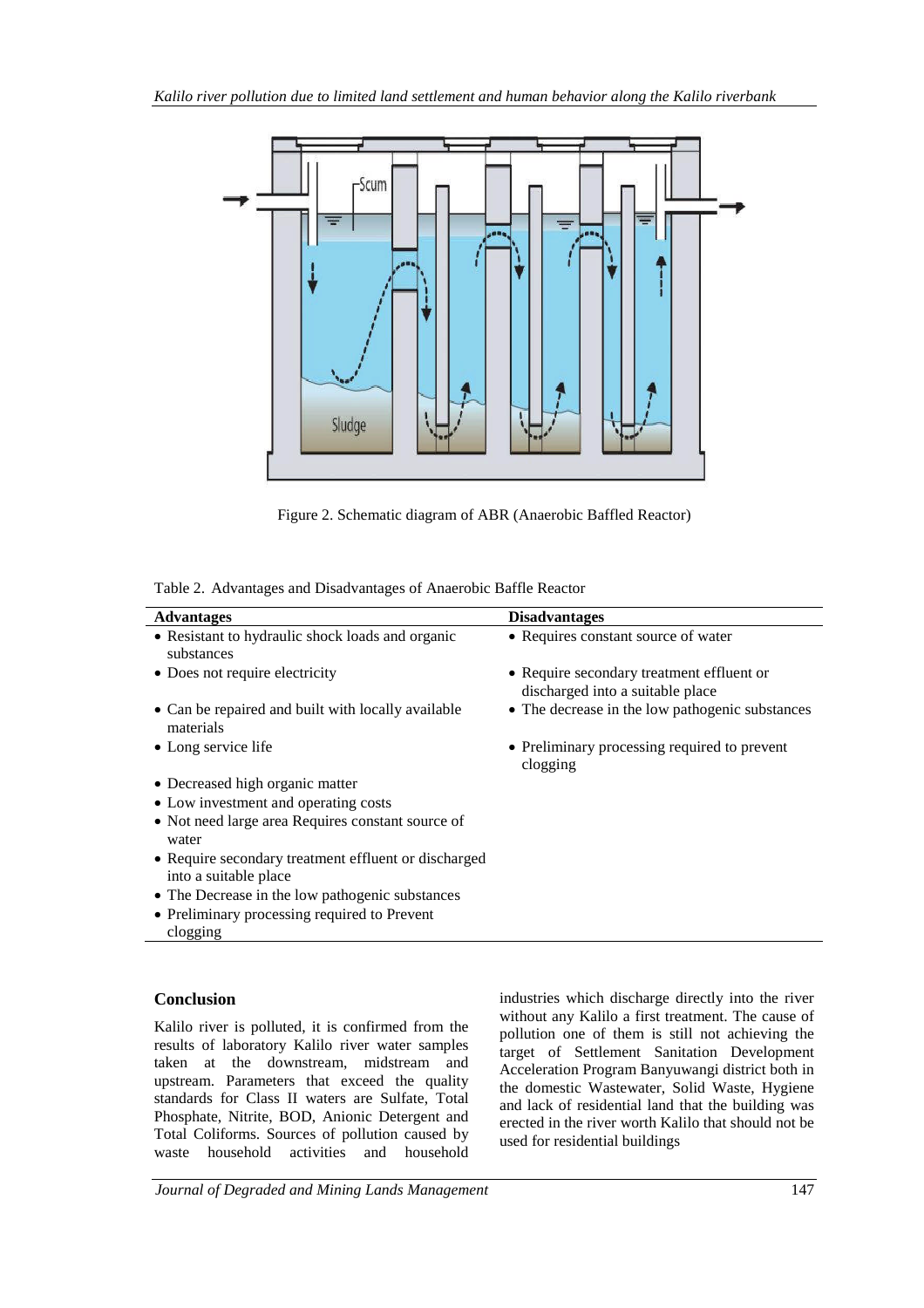

Figure 2. Schematic diagram of ABR (Anaerobic Baffled Reactor)

|  |  | Table 2. Advantages and Disadvantages of Anaerobic Baffle Reactor |  |  |
|--|--|-------------------------------------------------------------------|--|--|
|--|--|-------------------------------------------------------------------|--|--|

| <b>Advantages</b>                                               | <b>Disadvantages</b>                                                          |
|-----------------------------------------------------------------|-------------------------------------------------------------------------------|
|                                                                 |                                                                               |
| • Resistant to hydraulic shock loads and organic<br>substances  | • Requires constant source of water                                           |
| • Does not require electricity                                  | • Require secondary treatment effluent or<br>discharged into a suitable place |
| • Can be repaired and built with locally available<br>materials | • The decrease in the low pathogenic substances                               |
| • Long service life                                             | • Preliminary processing required to prevent<br>clogging                      |
| • Decreased high organic matter                                 |                                                                               |
| • Low investment and operating costs                            |                                                                               |
| • Not need large area Requires constant source of               |                                                                               |
| water                                                           |                                                                               |
| • Require secondary treatment effluent or discharged            |                                                                               |
| into a suitable place                                           |                                                                               |
| • The Decrease in the low pathogenic substances                 |                                                                               |
| • Preliminary processing required to Prevent                    |                                                                               |
| clogging                                                        |                                                                               |

# **Conclusion**

Kalilo river is polluted, it is confirmed from the results of laboratory Kalilo river water samples taken at the downstream, midstream and upstream. Parameters that exceed the quality standards for Class II waters are Sulfate, Total Phosphate, Nitrite, BOD, Anionic Detergent and Total Coliforms. Sources of pollution caused by waste household activities and household

industries which discharge directly into the river without any Kalilo a first treatment. The cause of pollution one of them is still not achieving the target of Settlement Sanitation Development Acceleration Program Banyuwangi district both in the domestic Wastewater, Solid Waste, Hygiene and lack of residential land that the building was erected in the river worth Kalilo that should not be used for residential buildings